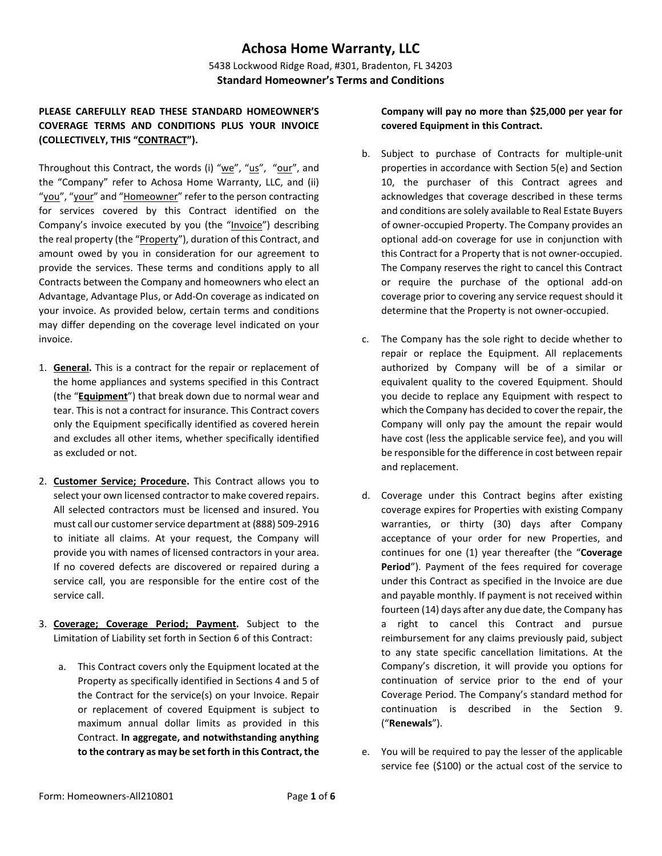# **Achosa Home Warranty, LLC**

5438 Lockwood Ridge Road, #301, Bradenton, FL 34203 **Standard Homeowner's Terms and Conditions**

# **PLEASE CAREFULLY READ THESE STANDARD HOMEOWNER'S COVERAGE TERMS AND CONDITIONS PLUS YOUR INVOICE (COLLECTIVELY, THIS "CONTRACT").**

Throughout this Contract, the words (i) "we", "us", "our", and the "Company" refer to Achosa Home Warranty, LLC, and (ii) "you", "your" and "Homeowner" refer to the person contracting for services covered by this Contract identified on the Company's invoice executed by you (the "Invoice") describing the real property (the "Property"), duration of this Contract, and amount owed by you in consideration for our agreement to provide the services. These terms and conditions apply to all Contracts between the Company and homeowners who elect an Advantage, Advantage Plus, or Add-On coverage as indicated on your invoice. As provided below, certain terms and conditions may differ depending on the coverage level indicated on your invoice.

- 1. **General.** This is a contract for the repair or replacement of the home appliances and systems specified in this Contract (the "**Equipment**") that break down due to normal wear and tear. This is not a contract for insurance. This Contract covers only the Equipment specifically identified as covered herein and excludes all other items, whether specifically identified as excluded or not.
- 2. **Customer Service; Procedure.** This Contract allows you to select your own licensed contractor to make covered repairs. All selected contractors must be licensed and insured. You must call our customer service department at (888) 509-2916 to initiate all claims. At your request, the Company will provide you with names of licensed contractors in your area. If no covered defects are discovered or repaired during a service call, you are responsible for the entire cost of the service call.
- 3. **Coverage; Coverage Period; Payment.** Subject to the Limitation of Liability set forth in Section 6 of this Contract:
	- a. This Contract covers only the Equipment located at the Property as specifically identified in Sections 4 and 5 of the Contract for the service(s) on your Invoice. Repair or replacement of covered Equipment is subject to maximum annual dollar limits as provided in this Contract. **In aggregate, and notwithstanding anything to the contrary as may be set forth in this Contract, the**

**Company will pay no more than \$25,000 per year for covered Equipment in this Contract.**

- b. Subject to purchase of Contracts for multiple-unit properties in accordance with Section 5(e) and Section 10, the purchaser of this Contract agrees and acknowledges that coverage described in these terms and conditions are solely available to Real Estate Buyers of owner-occupied Property. The Company provides an optional add-on coverage for use in conjunction with this Contract for a Property that is not owner-occupied. The Company reserves the right to cancel this Contract or require the purchase of the optional add-on coverage prior to covering any service request should it determine that the Property is not owner-occupied.
- c. The Company has the sole right to decide whether to repair or replace the Equipment. All replacements authorized by Company will be of a similar or equivalent quality to the covered Equipment. Should you decide to replace any Equipment with respect to which the Company has decided to cover the repair, the Company will only pay the amount the repair would have cost (less the applicable service fee), and you will be responsible for the difference in cost between repair and replacement.
- d. Coverage under this Contract begins after existing coverage expires for Properties with existing Company warranties, or thirty (30) days after Company acceptance of your order for new Properties, and continues for one (1) year thereafter (the "**Coverage Period**"). Payment of the fees required for coverage under this Contract as specified in the Invoice are due and payable monthly. If payment is not received within fourteen (14) days after any due date, the Company has a right to cancel this Contract and pursue reimbursement for any claims previously paid, subject to any state specific cancellation limitations. At the Company's discretion, it will provide you options for continuation of service prior to the end of your Coverage Period. The Company's standard method for continuation is described in the Section 9. ("**Renewals**").
- e. You will be required to pay the lesser of the applicable service fee (\$100) or the actual cost of the service to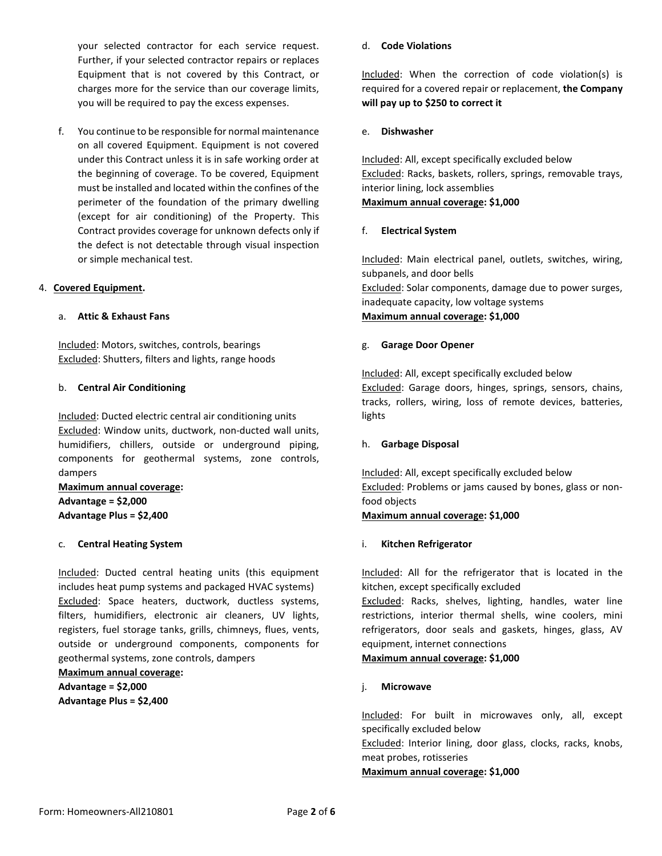your selected contractor for each service request. Further, if your selected contractor repairs or replaces Equipment that is not covered by this Contract, or charges more for the service than our coverage limits, you will be required to pay the excess expenses.

f. You continue to be responsible for normal maintenance on all covered Equipment. Equipment is not covered under this Contract unless it is in safe working order at the beginning of coverage. To be covered, Equipment must be installed and located within the confines of the perimeter of the foundation of the primary dwelling (except for air conditioning) of the Property. This Contract provides coverage for unknown defects only if the defect is not detectable through visual inspection or simple mechanical test.

#### 4. **Covered Equipment.**

#### a. **Attic & Exhaust Fans**

Included: Motors, switches, controls, bearings Excluded: Shutters, filters and lights, range hoods

#### b. **Central Air Conditioning**

Included: Ducted electric central air conditioning units Excluded: Window units, ductwork, non-ducted wall units, humidifiers, chillers, outside or underground piping, components for geothermal systems, zone controls, dampers

**Maximum annual coverage: Advantage = \$2,000 Advantage Plus = \$2,400**

#### c. **Central Heating System**

Included: Ducted central heating units (this equipment includes heat pump systems and packaged HVAC systems) Excluded: Space heaters, ductwork, ductless systems, filters, humidifiers, electronic air cleaners, UV lights, registers, fuel storage tanks, grills, chimneys, flues, vents, outside or underground components, components for geothermal systems, zone controls, dampers

#### **Maximum annual coverage:**

**Advantage = \$2,000 Advantage Plus = \$2,400**

#### d. **Code Violations**

Included: When the correction of code violation(s) is required for a covered repair or replacement, **the Company will pay up to \$250 to correct it**

### e. **Dishwasher**

Included: All, except specifically excluded below Excluded: Racks, baskets, rollers, springs, removable trays, interior lining, lock assemblies **Maximum annual coverage: \$1,000**

### f. **Electrical System**

Included: Main electrical panel, outlets, switches, wiring, subpanels, and door bells Excluded: Solar components, damage due to power surges, inadequate capacity, low voltage systems **Maximum annual coverage: \$1,000**

### g. **Garage Door Opener**

Included: All, except specifically excluded below Excluded: Garage doors, hinges, springs, sensors, chains, tracks, rollers, wiring, loss of remote devices, batteries, lights

# h. **Garbage Disposal**

Included: All, except specifically excluded below Excluded: Problems or jams caused by bones, glass or nonfood objects **Maximum annual coverage: \$1,000**

# i. **Kitchen Refrigerator**

Included: All for the refrigerator that is located in the kitchen, except specifically excluded

Excluded: Racks, shelves, lighting, handles, water line restrictions, interior thermal shells, wine coolers, mini refrigerators, door seals and gaskets, hinges, glass, AV equipment, internet connections

### **Maximum annual coverage: \$1,000**

# j. **Microwave**

Included: For built in microwaves only, all, except specifically excluded below Excluded: Interior lining, door glass, clocks, racks, knobs, meat probes, rotisseries

**Maximum annual coverage: \$1,000**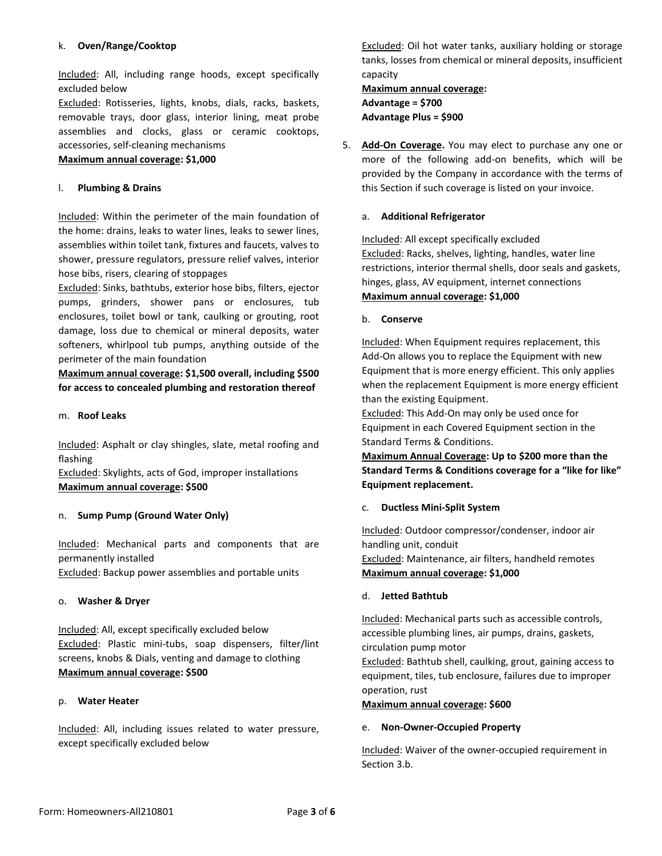Included: All, including range hoods, except specifically excluded below

Excluded: Rotisseries, lights, knobs, dials, racks, baskets, removable trays, door glass, interior lining, meat probe assemblies and clocks, glass or ceramic cooktops, accessories, self-cleaning mechanisms **Maximum annual coverage: \$1,000**

# l. **Plumbing & Drains**

Included: Within the perimeter of the main foundation of the home: drains, leaks to water lines, leaks to sewer lines, assemblies within toilet tank, fixtures and faucets, valves to shower, pressure regulators, pressure relief valves, interior hose bibs, risers, clearing of stoppages

Excluded: Sinks, bathtubs, exterior hose bibs, filters, ejector pumps, grinders, shower pans or enclosures, tub enclosures, toilet bowl or tank, caulking or grouting, root damage, loss due to chemical or mineral deposits, water softeners, whirlpool tub pumps, anything outside of the perimeter of the main foundation

**Maximum annual coverage: \$1,500 overall, including \$500 for access to concealed plumbing and restoration thereof**

### m. **Roof Leaks**

Included: Asphalt or clay shingles, slate, metal roofing and flashing

Excluded: Skylights, acts of God, improper installations **Maximum annual coverage: \$500**

# n. **Sump Pump (Ground Water Only)**

Included: Mechanical parts and components that are permanently installed

Excluded: Backup power assemblies and portable units

#### o. **Washer & Dryer**

Included: All, except specifically excluded below Excluded: Plastic mini-tubs, soap dispensers, filter/lint screens, knobs & Dials, venting and damage to clothing **Maximum annual coverage: \$500** 

#### p. **Water Heater**

Included: All, including issues related to water pressure, except specifically excluded below

Excluded: Oil hot water tanks, auxiliary holding or storage tanks, losses from chemical or mineral deposits, insufficient capacity

**Maximum annual coverage: Advantage = \$700 Advantage Plus = \$900**

5. **Add-On Coverage.** You may elect to purchase any one or more of the following add-on benefits, which will be provided by the Company in accordance with the terms of this Section if such coverage is listed on your invoice.

### a. **Additional Refrigerator**

Included: All except specifically excluded Excluded: Racks, shelves, lighting, handles, water line restrictions, interior thermal shells, door seals and gaskets, hinges, glass, AV equipment, internet connections **Maximum annual coverage: \$1,000**

### b. **Conserve**

Included: When Equipment requires replacement, this Add-On allows you to replace the Equipment with new Equipment that is more energy efficient. This only applies when the replacement Equipment is more energy efficient than the existing Equipment.

Excluded: This Add-On may only be used once for Equipment in each Covered Equipment section in the Standard Terms & Conditions.

**Maximum Annual Coverage: Up to \$200 more than the Standard Terms & Conditions coverage for a "like for like" Equipment replacement.** 

c. **Ductless Mini-Split System**

Included: Outdoor compressor/condenser, indoor air handling unit, conduit

Excluded: Maintenance, air filters, handheld remotes **Maximum annual coverage: \$1,000**

d. **Jetted Bathtub**

Included: Mechanical parts such as accessible controls, accessible plumbing lines, air pumps, drains, gaskets, circulation pump motor

Excluded: Bathtub shell, caulking, grout, gaining access to equipment, tiles, tub enclosure, failures due to improper operation, rust

#### **Maximum annual coverage: \$600**

#### e. **Non-Owner-Occupied Property**

Included: Waiver of the owner-occupied requirement in Section 3.b.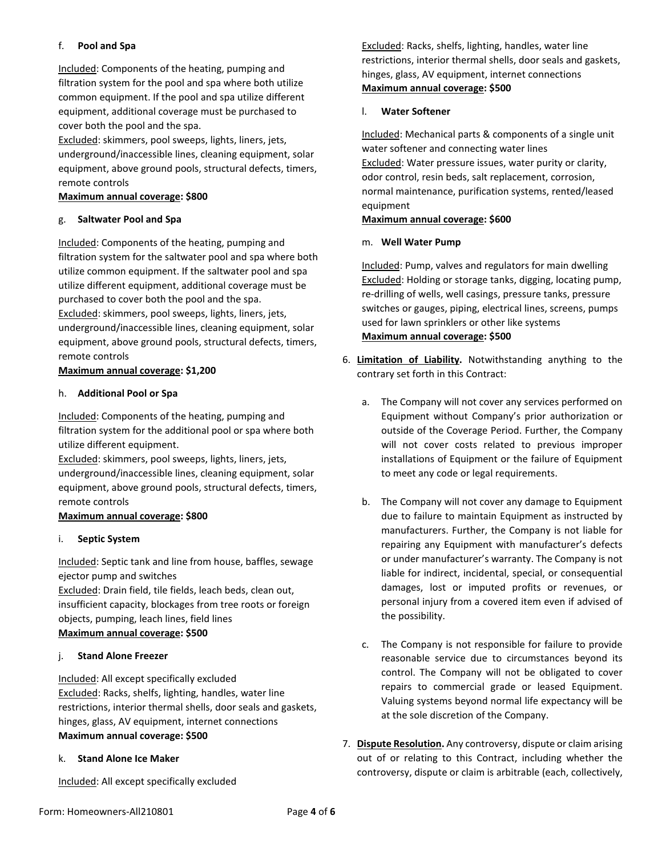# f. **Pool and Spa**

Included: Components of the heating, pumping and filtration system for the pool and spa where both utilize common equipment. If the pool and spa utilize different equipment, additional coverage must be purchased to cover both the pool and the spa.

Excluded: skimmers, pool sweeps, lights, liners, jets, underground/inaccessible lines, cleaning equipment, solar equipment, above ground pools, structural defects, timers, remote controls

# **Maximum annual coverage: \$800**

# g. **Saltwater Pool and Spa**

Included: Components of the heating, pumping and filtration system for the saltwater pool and spa where both utilize common equipment. If the saltwater pool and spa utilize different equipment, additional coverage must be purchased to cover both the pool and the spa. Excluded: skimmers, pool sweeps, lights, liners, jets, underground/inaccessible lines, cleaning equipment, solar equipment, above ground pools, structural defects, timers, remote controls

# **Maximum annual coverage: \$1,200**

# h. **Additional Pool or Spa**

Included: Components of the heating, pumping and filtration system for the additional pool or spa where both utilize different equipment.

Excluded: skimmers, pool sweeps, lights, liners, jets, underground/inaccessible lines, cleaning equipment, solar equipment, above ground pools, structural defects, timers, remote controls

# **Maximum annual coverage: \$800**

# i. **Septic System**

Included: Septic tank and line from house, baffles, sewage ejector pump and switches

Excluded: Drain field, tile fields, leach beds, clean out, insufficient capacity, blockages from tree roots or foreign objects, pumping, leach lines, field lines **Maximum annual coverage: \$500**

# j. **Stand Alone Freezer**

Included: All except specifically excluded Excluded: Racks, shelfs, lighting, handles, water line restrictions, interior thermal shells, door seals and gaskets, hinges, glass, AV equipment, internet connections **Maximum annual coverage: \$500**

# k. **Stand Alone Ice Maker**

Included: All except specifically excluded

Excluded: Racks, shelfs, lighting, handles, water line restrictions, interior thermal shells, door seals and gaskets, hinges, glass, AV equipment, internet connections **Maximum annual coverage: \$500**

# l. **Water Softener**

Included: Mechanical parts & components of a single unit water softener and connecting water lines Excluded: Water pressure issues, water purity or clarity, odor control, resin beds, salt replacement, corrosion, normal maintenance, purification systems, rented/leased equipment

#### **Maximum annual coverage: \$600**

### m. **Well Water Pump**

Included: Pump, valves and regulators for main dwelling Excluded: Holding or storage tanks, digging, locating pump, re-drilling of wells, well casings, pressure tanks, pressure switches or gauges, piping, electrical lines, screens, pumps used for lawn sprinklers or other like systems **Maximum annual coverage: \$500**

- 6. **Limitation of Liability.** Notwithstanding anything to the contrary set forth in this Contract:
	- a. The Company will not cover any services performed on Equipment without Company's prior authorization or outside of the Coverage Period. Further, the Company will not cover costs related to previous improper installations of Equipment or the failure of Equipment to meet any code or legal requirements.
	- b. The Company will not cover any damage to Equipment due to failure to maintain Equipment as instructed by manufacturers. Further, the Company is not liable for repairing any Equipment with manufacturer's defects or under manufacturer's warranty. The Company is not liable for indirect, incidental, special, or consequential damages, lost or imputed profits or revenues, or personal injury from a covered item even if advised of the possibility.
	- c. The Company is not responsible for failure to provide reasonable service due to circumstances beyond its control. The Company will not be obligated to cover repairs to commercial grade or leased Equipment. Valuing systems beyond normal life expectancy will be at the sole discretion of the Company.
- 7. **Dispute Resolution.** Any controversy, dispute or claim arising out of or relating to this Contract, including whether the controversy, dispute or claim is arbitrable (each, collectively,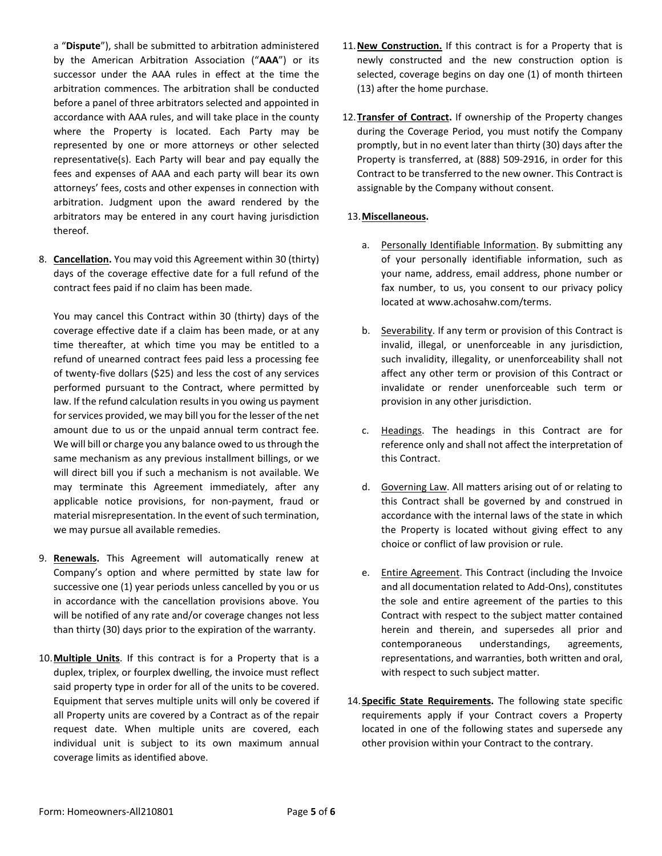arbitration commences. The arbitration shall be conducted before a panel of three arbitrators selected and appointed in accordance with AAA rules, and will take place in the county where the Property is located. Each Party may be represented by one or more attorneys or other selected representative(s). Each Party will bear and pay equally the fees and expenses of AAA and each party will bear its own attorneys' fees, costs and other expenses in connection with arbitration. Judgment upon the award rendered by the arbitrators may be entered in any court having jurisdiction thereof. 8. **Cancellation.** You may void this Agreement within 30 (thirty) days of the coverage effective date for a full refund of the contract fees paid if no claim has been made.

a "**Dispute**"), shall be submitted to arbitration administered by the American Arbitration Association ("**AAA**") or its successor under the AAA rules in effect at the time the

You may cancel this Contract within 30 (thirty) days of the coverage effective date if a claim has been made, or at any time thereafter, at which time you may be entitled to a refund of unearned contract fees paid less a processing fee of twenty-five dollars (\$25) and less the cost of any services performed pursuant to the Contract, where permitted by law. If the refund calculation results in you owing us payment for services provided, we may bill you for the lesser of the net amount due to us or the unpaid annual term contract fee. We will bill or charge you any balance owed to us through the same mechanism as any previous installment billings, or we will direct bill you if such a mechanism is not available. We may terminate this Agreement immediately, after any applicable notice provisions, for non-payment, fraud or material misrepresentation. In the event of such termination, we may pursue all available remedies.

- 9. **Renewals.** This Agreement will automatically renew at Company's option and where permitted by state law for successive one (1) year periods unless cancelled by you or us in accordance with the cancellation provisions above. You will be notified of any rate and/or coverage changes not less than thirty (30) days prior to the expiration of the warranty.
- 10.**Multiple Units**. If this contract is for a Property that is a duplex, triplex, or fourplex dwelling, the invoice must reflect said property type in order for all of the units to be covered. Equipment that serves multiple units will only be covered if all Property units are covered by a Contract as of the repair request date. When multiple units are covered, each individual unit is subject to its own maximum annual coverage limits as identified above.
- 11.**New Construction.** If this contract is for a Property that is newly constructed and the new construction option is selected, coverage begins on day one (1) of month thirteen (13) after the home purchase.
- 12.**Transfer of Contract.** If ownership of the Property changes during the Coverage Period, you must notify the Company promptly, but in no event later than thirty (30) days after the Property is transferred, at (888) 509-2916, in order for this Contract to be transferred to the new owner. This Contract is assignable by the Company without consent.

# 13.**Miscellaneous.**

- a. Personally Identifiable Information. By submitting any of your personally identifiable information, such as your name, address, email address, phone number or fax number, to us, you consent to our privacy policy located at www.achosahw.com/terms.
- b. Severability. If any term or provision of this Contract is invalid, illegal, or unenforceable in any jurisdiction, such invalidity, illegality, or unenforceability shall not affect any other term or provision of this Contract or invalidate or render unenforceable such term or provision in any other jurisdiction.
- c. Headings. The headings in this Contract are for reference only and shall not affect the interpretation of this Contract.
- d. Governing Law. All matters arising out of or relating to this Contract shall be governed by and construed in accordance with the internal laws of the state in which the Property is located without giving effect to any choice or conflict of law provision or rule.
- e. Entire Agreement. This Contract (including the Invoice and all documentation related to Add-Ons), constitutes the sole and entire agreement of the parties to this Contract with respect to the subject matter contained herein and therein, and supersedes all prior and contemporaneous understandings, agreements, representations, and warranties, both written and oral, with respect to such subject matter.
- 14.**Specific State Requirements.** The following state specific requirements apply if your Contract covers a Property located in one of the following states and supersede any other provision within your Contract to the contrary.